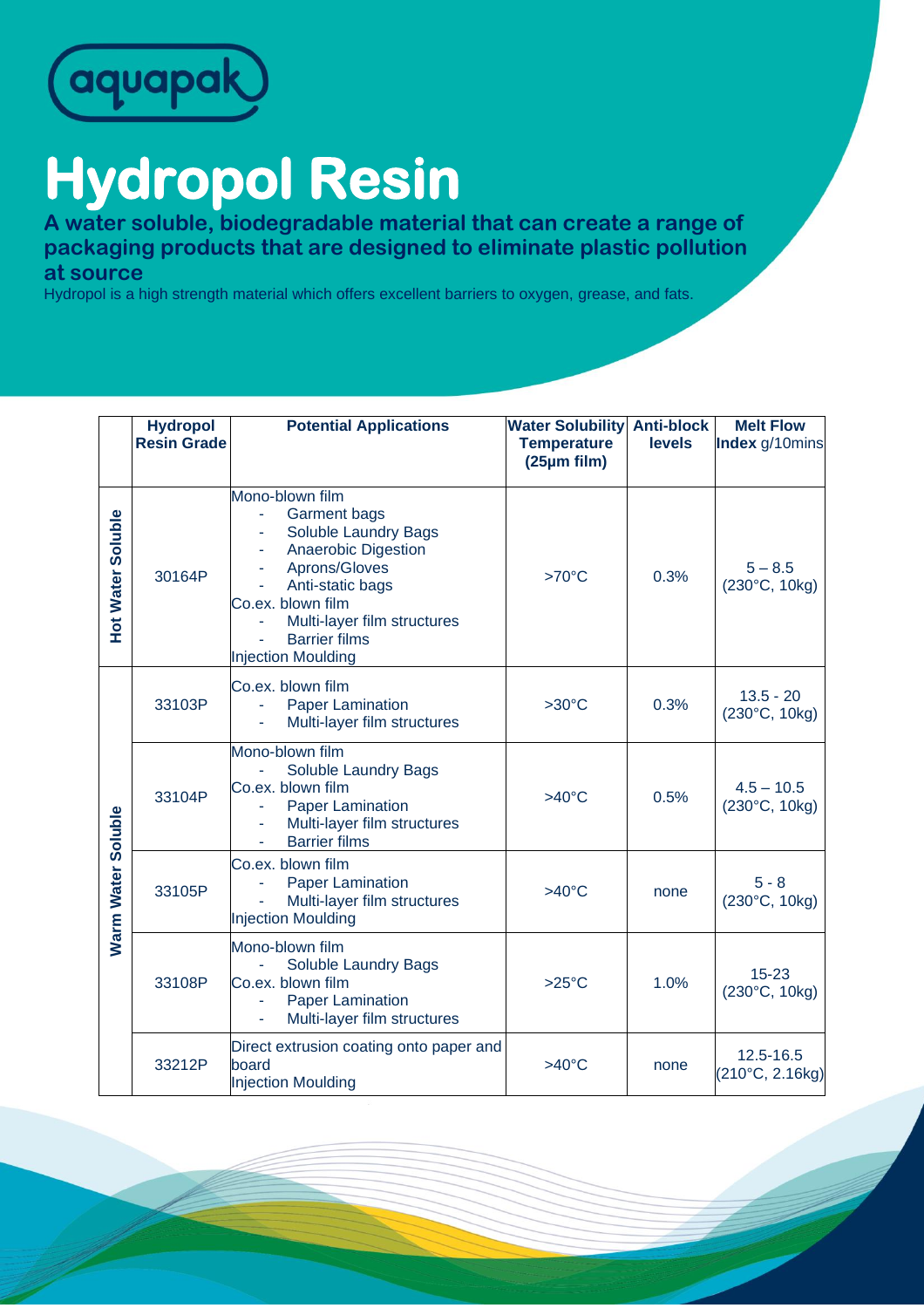

## **Hydropol Resin**

**A water soluble, biodegradable material that can create a range of packaging products that are designed to eliminate plastic pollution at source**

Hydropol is a high strength material which offers excellent barriers to oxygen, grease, and fats.

|                           | <b>Hydropol</b><br><b>Resin Grade</b> | <b>Potential Applications</b>                                                                                                                                                                                                              | <b>Water Solubility Anti-block</b><br><b>Temperature</b><br>(25µm film) | <b>levels</b> | <b>Melt Flow</b><br>Index g/10mins     |
|---------------------------|---------------------------------------|--------------------------------------------------------------------------------------------------------------------------------------------------------------------------------------------------------------------------------------------|-------------------------------------------------------------------------|---------------|----------------------------------------|
| <b>Hot Water Soluble</b>  | 30164P                                | Mono-blown film<br><b>Garment bags</b><br>Soluble Laundry Bags<br><b>Anaerobic Digestion</b><br>Aprons/Gloves<br>Anti-static bags<br>Co.ex. blown film<br>Multi-layer film structures<br><b>Barrier films</b><br><b>Injection Moulding</b> | $>70^{\circ}$ C                                                         | 0.3%          | $5 - 8.5$<br>$(230^{\circ}C, 10kg)$    |
| <b>Narm Water Soluble</b> | 33103P                                | Co.ex. blown film<br><b>Paper Lamination</b><br>Multi-layer film structures                                                                                                                                                                | $>30^{\circ}$ C                                                         | 0.3%          | $13.5 - 20$<br>(230°C, 10kg)           |
|                           | 33104P                                | Mono-blown film<br>Soluble Laundry Bags<br>Co.ex. blown film<br><b>Paper Lamination</b><br>Multi-layer film structures<br><b>Barrier films</b>                                                                                             | $>40^{\circ}$ C                                                         | 0.5%          | $4.5 - 10.5$<br>$(230^{\circ}C, 10kg)$ |
|                           | 33105P                                | Co.ex. blown film<br><b>Paper Lamination</b><br>Multi-layer film structures<br><b>Injection Moulding</b>                                                                                                                                   | $>40^{\circ}$ C                                                         | none          | $5 - 8$<br>(230°C, 10kg)               |
|                           | 33108P                                | Mono-blown film<br>Soluble Laundry Bags<br>Co.ex. blown film<br><b>Paper Lamination</b><br>Multi-layer film structures                                                                                                                     | $>25^{\circ}$ C                                                         | 1.0%          | $15 - 23$<br>(230°C, 10kg)             |
|                           | 33212P                                | Direct extrusion coating onto paper and<br>board<br><b>Injection Moulding</b>                                                                                                                                                              | $>40^{\circ}$ C                                                         | none          | 12.5-16.5<br>(210°C, 2.16kg)           |